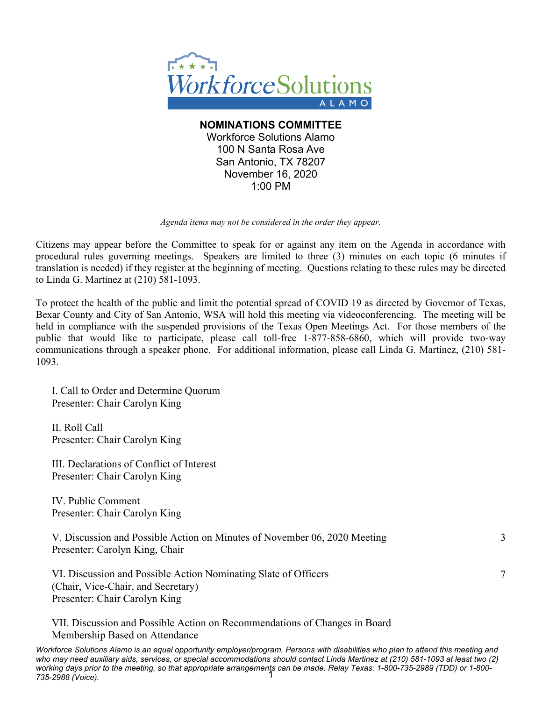

**NOMINATIONS COMMITTEE** Workforce Solutions Alamo 100 N Santa Rosa Ave San Antonio, TX 78207 November 16, 2020 1:00 PM

*Agenda items may not be considered in the order they appear.*

Citizens may appear before the Committee to speak for or against any item on the Agenda in accordance with procedural rules governing meetings. Speakers are limited to three (3) minutes on each topic (6 minutes if translation is needed) if they register at the beginning of meeting. Questions relating to these rules may be directed to Linda G. Martinez at (210) 581-1093.

To protect the health of the public and limit the potential spread of COVID 19 as directed by Governor of Texas, Bexar County and City of San Antonio, WSA will hold this meeting via videoconferencing. The meeting will be held in compliance with the suspended provisions of the Texas Open Meetings Act. For those members of the public that would like to participate, please call toll-free 1-877-858-6860, which will provide two-way communications through a speaker phone. For additional information, please call Linda G. Martinez, (210) 581- 1093.

I. Call to Order and Determine Quorum Presenter: Chair Carolyn King

II. Roll Call Presenter: Chair Carolyn King

III. Declarations of Conflict of Interest Presenter: Chair Carolyn King

IV. Public Comment Presenter: Chair Carolyn King

V. Discussion and Possible Action on Minutes of November 06, 2020 Meeting Presenter: Carolyn King, Chair

3

7

VI. Discussion and Possible Action Nominating Slate of Officers (Chair, Vice-Chair, and Secretary) Presenter: Chair Carolyn King

VII. Discussion and Possible Action on Recommendations of Changes in Board Membership Based on Attendance

*Workforce Solutions Alamo is an equal opportunity employer/program. Persons with disabilities who plan to attend this meeting and who may need auxiliary aids, services, or special accommodations should contact Linda Martinez at (210) 581-1093 at least two (2) working days prior to the meeting, so that appropriate arrangements can be made. Relay Texas: 1-800-735-2989 (TDD) or 1-800-* 1*735-2988 (Voice).*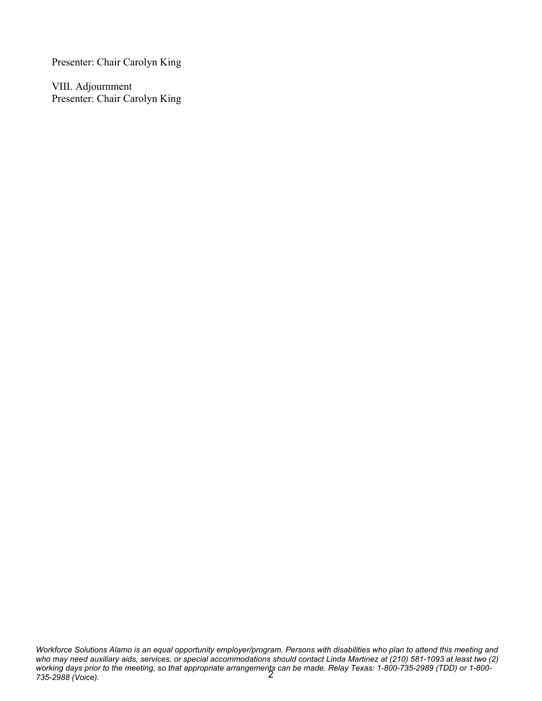Presenter: Chair Carolyn King

VIII. Adjournment Presenter: Chair Carolyn King

*Workforce Solutions Alamo is an equal opportunity employer/program. Persons with disabilities who plan to attend this meeting and who may need auxiliary aids, services, or special accommodations should contact Linda Martinez at (210) 581-1093 at least two (2) working days prior to the meeting, so that appropriate arrangements can be made. Relay Texas: 1-800-735-2989 (TDD) or 1-800- 735-2988 (Voice).* 2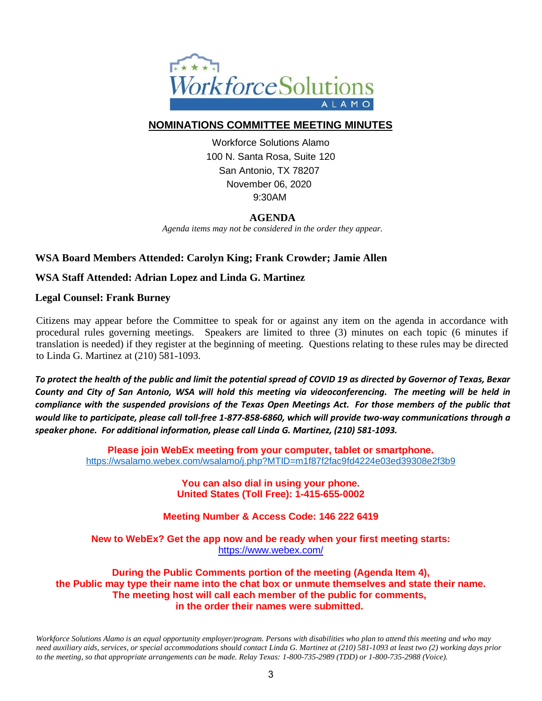

# **NOMINATIONS COMMITTEE MEETING MINUTES**

Workforce Solutions Alamo 100 N. Santa Rosa, Suite 120 San Antonio, TX 78207 November 06, 2020 9:30AM

# **AGENDA**

*Agenda items may not be considered in the order they appear.*

## **WSA Board Members Attended: Carolyn King; Frank Crowder; Jamie Allen**

## **WSA Staff Attended: Adrian Lopez and Linda G. Martinez**

### **Legal Counsel: Frank Burney**

Citizens may appear before the Committee to speak for or against any item on the agenda in accordance with procedural rules governing meetings. Speakers are limited to three (3) minutes on each topic (6 minutes if translation is needed) if they register at the beginning of meeting. Questions relating to these rules may be directed to Linda G. Martinez at (210) 581-1093.

*To protect the health of the public and limit the potential spread of COVID 19 as directed by Governor of Texas, Bexar County and City of San Antonio, WSA will hold this meeting via videoconferencing. The meeting will be held in compliance with the suspended provisions of the Texas Open Meetings Act. For those members of the public that would like to participate, please call toll-free 1-877-858-6860, which will provide two-way communications through a speaker phone. For additional information, please call Linda G. Martinez, (210) 581-1093.*

> **Please join WebEx meeting from your computer, tablet or smartphone.**  <https://wsalamo.webex.com/wsalamo/j.php?MTID=m1f87f2fac9fd4224e03ed39308e2f3b9>

> > **You can also dial in using your phone. United States (Toll Free): 1-415-655-0002**

**Meeting Number & Access Code: 146 222 6419**

**New to WebEx? Get the app now and be ready when your first meeting starts:**  <https://www.webex.com/>

**During the Public Comments portion of the meeting (Agenda Item 4), the Public may type their name into the chat box or unmute themselves and state their name. The meeting host will call each member of the public for comments, in the order their names were submitted.**

*Workforce Solutions Alamo is an equal opportunity employer/program. Persons with disabilities who plan to attend this meeting and who may need auxiliary aids, services, or special accommodations should contact Linda G. Martinez at (210) 581-1093 at least two (2) working days prior to the meeting, so that appropriate arrangements can be made. Relay Texas: 1-800-735-2989 (TDD) or 1-800-735-2988 (Voice).*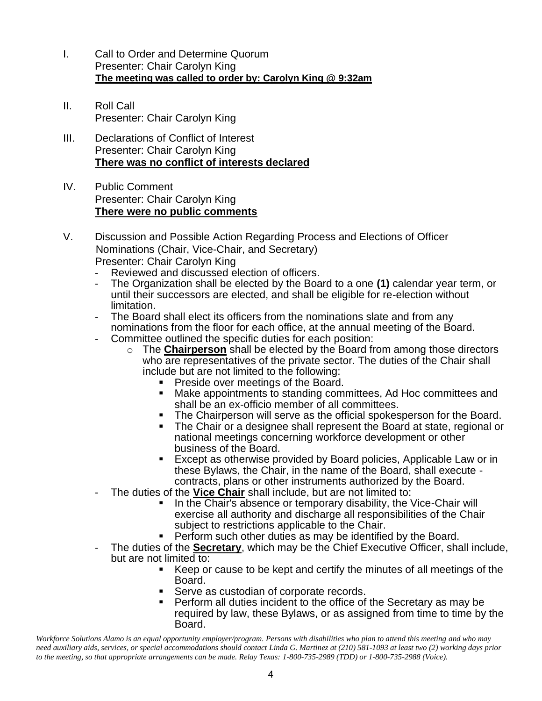- I. Call to Order and Determine Quorum Presenter: Chair Carolyn King  **The meeting was called to order by: Carolyn King @ 9:32am**
- II. Roll Call Presenter: Chair Carolyn King
- III. Declarations of Conflict of Interest Presenter: Chair Carolyn King **There was no conflict of interests declared**
- IV. Public Comment Presenter: Chair Carolyn King **There were no public comments**
- V. Discussion and Possible Action Regarding Process and Elections of Officer Nominations (Chair, Vice-Chair, and Secretary) Presenter: Chair Carolyn King
	- Reviewed and discussed election of officers.
	- The Organization shall be elected by the Board to a one **(1)** calendar year term, or until their successors are elected, and shall be eligible for re-election without limitation.
	- The Board shall elect its officers from the nominations slate and from any nominations from the floor for each office, at the annual meeting of the Board.
	- Committee outlined the specific duties for each position:
		- o The **Chairperson** shall be elected by the Board from among those directors who are representatives of the private sector. The duties of the Chair shall include but are not limited to the following:
			- Preside over meetings of the Board.
			- Make appointments to standing committees, Ad Hoc committees and shall be an ex-officio member of all committees.
			- The Chairperson will serve as the official spokesperson for the Board.<br>■ The Chair or a designee shall represent the Board at state, regional or
			- The Chair or a designee shall represent the Board at state, regional or national meetings concerning workforce development or other business of the Board.
			- Except as otherwise provided by Board policies, Applicable Law or in these Bylaws, the Chair, in the name of the Board, shall execute contracts, plans or other instruments authorized by the Board.
	- The duties of the **Vice Chair** shall include, but are not limited to:
		- In the Chair's absence or temporary disability, the Vice-Chair will exercise all authority and discharge all responsibilities of the Chair subject to restrictions applicable to the Chair.
		- Perform such other duties as may be identified by the Board.
	- The duties of the **Secretary**, which may be the Chief Executive Officer, shall include, but are not limited to:
		- Keep or cause to be kept and certify the minutes of all meetings of the Board.
		- Serve as custodian of corporate records.
		- Perform all duties incident to the office of the Secretary as may be required by law, these Bylaws, or as assigned from time to time by the Board.

*Workforce Solutions Alamo is an equal opportunity employer/program. Persons with disabilities who plan to attend this meeting and who may need auxiliary aids, services, or special accommodations should contact Linda G. Martinez at (210) 581-1093 at least two (2) working days prior to the meeting, so that appropriate arrangements can be made. Relay Texas: 1-800-735-2989 (TDD) or 1-800-735-2988 (Voice).*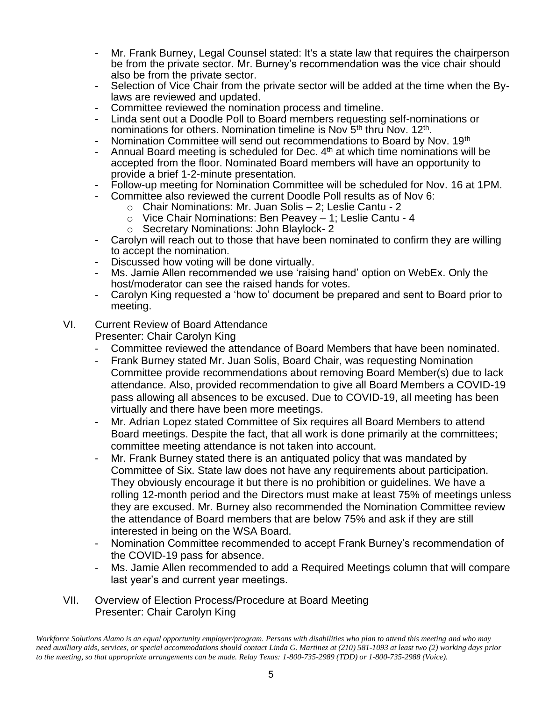- Mr. Frank Burney, Legal Counsel stated: It's a state law that requires the chairperson be from the private sector. Mr. Burney's recommendation was the vice chair should also be from the private sector.
- Selection of Vice Chair from the private sector will be added at the time when the Bylaws are reviewed and updated.
- Committee reviewed the nomination process and timeline.
- Linda sent out a Doodle Poll to Board members requesting self-nominations or nominations for others. Nomination timeline is Nov 5<sup>th</sup> thru Nov. 12<sup>th</sup>.
- Nomination Committee will send out recommendations to Board by Nov. 19th
- Annual Board meeting is scheduled for Dec.  $4<sup>th</sup>$  at which time nominations will be accepted from the floor. Nominated Board members will have an opportunity to provide a brief 1-2-minute presentation.
- Follow-up meeting for Nomination Committee will be scheduled for Nov. 16 at 1PM.
- Committee also reviewed the current Doodle Poll results as of Nov 6:
	- o Chair Nominations: Mr. Juan Solis 2; Leslie Cantu 2
	- o Vice Chair Nominations: Ben Peavey 1; Leslie Cantu 4
	- o Secretary Nominations: John Blaylock- 2
- Carolyn will reach out to those that have been nominated to confirm they are willing to accept the nomination.
- Discussed how voting will be done virtually.
- Ms. Jamie Allen recommended we use 'raising hand' option on WebEx. Only the host/moderator can see the raised hands for votes.
- Carolyn King requested a 'how to' document be prepared and sent to Board prior to meeting.
- VI. Current Review of Board Attendance

Presenter: Chair Carolyn King

- Committee reviewed the attendance of Board Members that have been nominated.
- Frank Burney stated Mr. Juan Solis, Board Chair, was requesting Nomination Committee provide recommendations about removing Board Member(s) due to lack attendance. Also, provided recommendation to give all Board Members a COVID-19 pass allowing all absences to be excused. Due to COVID-19, all meeting has been virtually and there have been more meetings.
- Mr. Adrian Lopez stated Committee of Six requires all Board Members to attend Board meetings. Despite the fact, that all work is done primarily at the committees; committee meeting attendance is not taken into account.
- Mr. Frank Burney stated there is an antiquated policy that was mandated by Committee of Six. State law does not have any requirements about participation. They obviously encourage it but there is no prohibition or guidelines. We have a rolling 12-month period and the Directors must make at least 75% of meetings unless they are excused. Mr. Burney also recommended the Nomination Committee review the attendance of Board members that are below 75% and ask if they are still interested in being on the WSA Board.
- Nomination Committee recommended to accept Frank Burney's recommendation of the COVID-19 pass for absence.
- Ms. Jamie Allen recommended to add a Required Meetings column that will compare last year's and current year meetings.
- VII. Overview of Election Process/Procedure at Board Meeting Presenter: Chair Carolyn King

*Workforce Solutions Alamo is an equal opportunity employer/program. Persons with disabilities who plan to attend this meeting and who may need auxiliary aids, services, or special accommodations should contact Linda G. Martinez at (210) 581-1093 at least two (2) working days prior to the meeting, so that appropriate arrangements can be made. Relay Texas: 1-800-735-2989 (TDD) or 1-800-735-2988 (Voice).*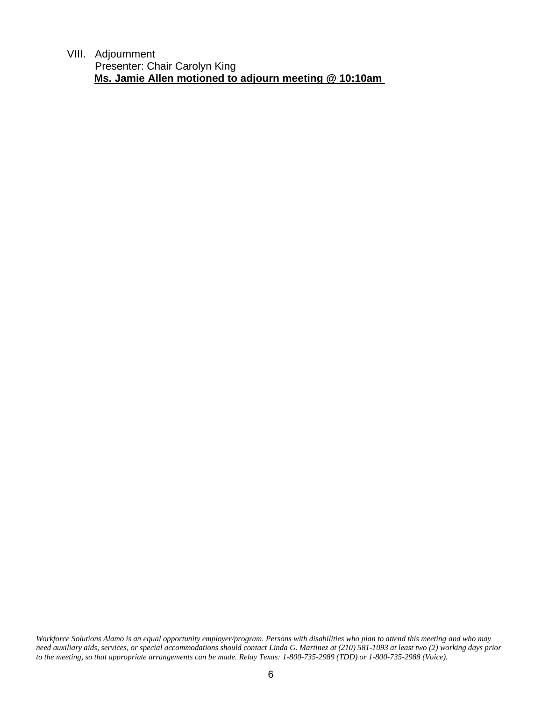VIII. Adjournment

Presenter: Chair Carolyn King  **Ms. Jamie Allen motioned to adjourn meeting @ 10:10am**

*Workforce Solutions Alamo is an equal opportunity employer/program. Persons with disabilities who plan to attend this meeting and who may need auxiliary aids, services, or special accommodations should contact Linda G. Martinez at (210) 581-1093 at least two (2) working days prior to the meeting, so that appropriate arrangements can be made. Relay Texas: 1-800-735-2989 (TDD) or 1-800-735-2988 (Voice).*